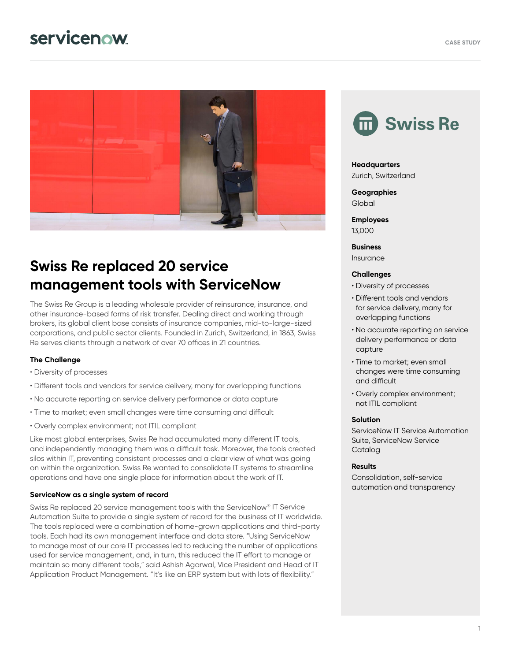# **servicenow**



## **Swiss Re replaced 20 service management tools with ServiceNow**

The Swiss Re Group is a leading wholesale provider of reinsurance, insurance, and other insurance-based forms of risk transfer. Dealing direct and working through brokers, its global client base consists of insurance companies, mid-to-large-sized corporations, and public sector clients. Founded in Zurich, Switzerland, in 1863, Swiss Re serves clients through a network of over 70 offices in 21 countries.

#### **The Challenge**

- Diversity of processes
- Different tools and vendors for service delivery, many for overlapping functions
- No accurate reporting on service delivery performance or data capture
- Time to market; even small changes were time consuming and difficult
- Overly complex environment; not ITIL compliant

Like most global enterprises, Swiss Re had accumulated many different IT tools, and independently managing them was a difficult task. Moreover, the tools created silos within IT, preventing consistent processes and a clear view of what was going on within the organization. Swiss Re wanted to consolidate IT systems to streamline operations and have one single place for information about the work of IT.

#### **ServiceNow as a single system of record**

Swiss Re replaced 20 service management tools with the ServiceNow® IT Service Automation Suite to provide a single system of record for the business of IT worldwide. The tools replaced were a combination of home-grown applications and third-party tools. Each had its own management interface and data store. "Using ServiceNow to manage most of our core IT processes led to reducing the number of applications used for service management, and, in turn, this reduced the IT effort to manage or maintain so many different tools," said Ashish Agarwal, Vice President and Head of IT Application Product Management. "It's like an ERP system but with lots of flexibility."



### **Headquarters**

Zurich, Switzerland

**Geographies** Global

**Employees** 13,000

**Business** Insurance

#### **Challenges**

- Diversity of processes
- Different tools and vendors for service delivery, many for overlapping functions
- No accurate reporting on service delivery performance or data capture
- Time to market; even small changes were time consuming and difficult
- Overly complex environment; not ITIL compliant

#### **Solution**

ServiceNow IT Service Automation Suite, ServiceNow Service **Cataloa** 

#### **Results**

Consolidation, self-service automation and transparency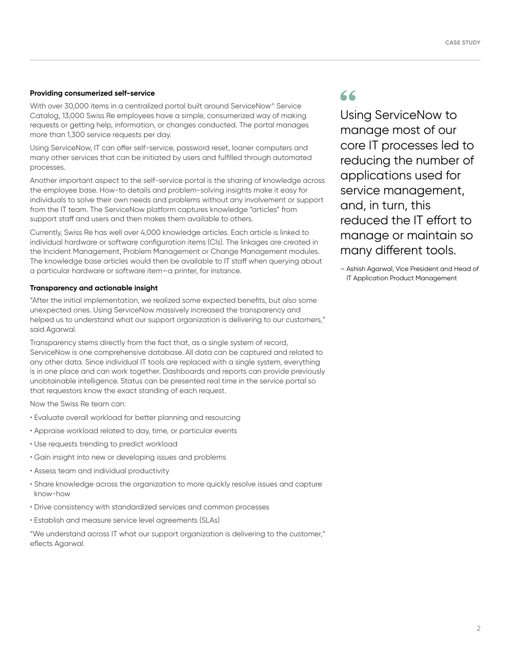#### **Providing consumerized self-service**

With over 30,000 items in a centralized portal built around ServiceNow® Service Catalog, 13,000 Swiss Re employees have a simple, consumerized way of making requests or getting help, information, or changes conducted. The portal manages more than 1,300 service requests per day.

Using ServiceNow, IT can offer self-service, password reset, loaner computers and many other services that can be initiated by users and fulfilled through automated processes.

Another important aspect to the self-service portal is the sharing of knowledge across the employee base. How-to details and problem-solving insights make it easy for individuals to solve their own needs and problems without any involvement or support from the IT team. The ServiceNow platform captures knowledge "articles" from support staff and users and then makes them available to others.

Currently, Swiss Re has well over 4,000 knowledge articles. Each article is linked to individual hardware or software configuration items (CIs). The linkages are created in the Incident Management, Problem Management or Change Management modules. The knowledge base articles would then be available to IT staff when querying about a particular hardware or software item—a printer, for instance.

#### **Transparency and actionable insight**

"After the initial implementation, we realized some expected benefits, but also some unexpected ones. Using ServiceNow massively increased the transparency and helped us to understand what our support organization is delivering to our customers," said Agarwal.

Transparency stems directly from the fact that, as a single system of record, ServiceNow is one comprehensive database. All data can be captured and related to any other data. Since individual IT tools are replaced with a single system, everything is in one place and can work together. Dashboards and reports can provide previously unobtainable intelligence. Status can be presented real time in the service portal so that requestors know the exact standing of each request.

Now the Swiss Re team can:

- Evaluate overall workload for better planning and resourcing
- Appraise workload related to day, time, or particular events
- Use requests trending to predict workload
- Gain insight into new or developing issues and problems
- Assess team and individual productivity
- Share knowledge across the organization to more quickly resolve issues and capture know-how
- Drive consistency with standardized services and common processes
- Establish and measure service level agreements (SLAs)

"We understand across IT what our support organization is delivering to the customer," eflects Agarwal.

## 66

Using ServiceNow to manage most of our core IT processes led to reducing the number of applications used for service management, and, in turn, this reduced the IT effort to manage or maintain so many different tools.

– Ashish Agarwal, Vice President and Head of IT Application Product Management